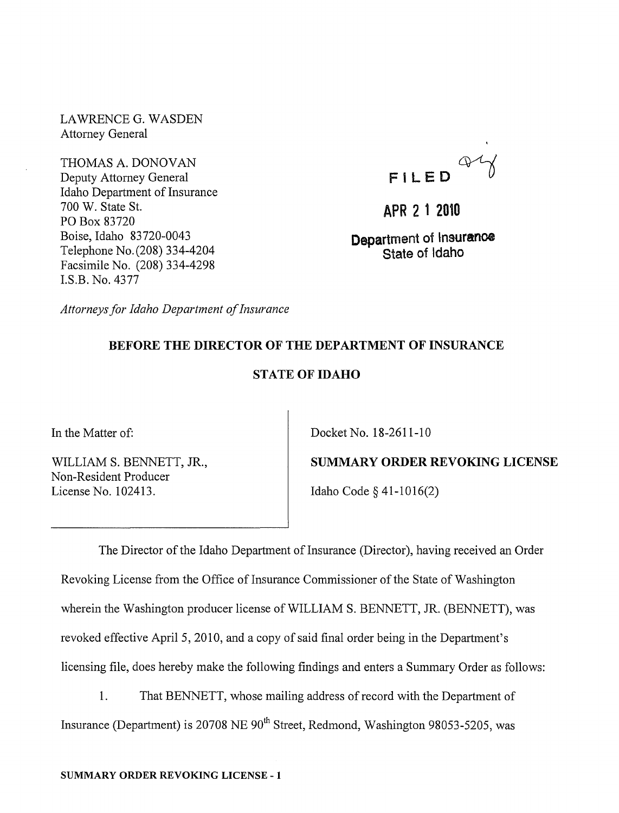LAWRENCE G. WASDEN Attorney General

THOMAS A. DONOVAN Deputy Attorney General Idaho Department of Insurance 700 W. State St. PO Box 83720 Boise, Idaho 83720-0043 Telephone No.(208) 334-4204 Facsimile No. (208) 334-4298 LS.B. No. 4377

FILED 4

APR 2 1 2010

Department of Insurance State of Idaho

*Attorneys for Idaho Department of Insurance* 

# BEFORE THE DIRECTOR OF THE DEPARTMENT OF INSURANCE

# STATE OF IDAHO

In the Matter of:

WILLIAM S. BENNETT, JR., Non-Resident Producer License No. 102413.

Docket No. 18-2611-10

SUMMARY ORDER REVOKING LICENSE Idaho Code § 41-1016(2)

The Director of the Idaho Department of Insurance (Director), having received an Order Revoking License from the Office of Insurance Commissioner of the State of Washington wherein the Washington producer license of WILLIAM S. BENNETT, JR. (BENNETT), was revoked effective April 5, 2010, and a copy of said final order being in the Department's licensing file, does hereby make the following findings and enters a Summary Order as follows:

1. That BENNETT, whose mailing address of record with the Department of Insurance (Department) is 20708 NE  $90<sup>th</sup>$  Street, Redmond, Washington 98053-5205, was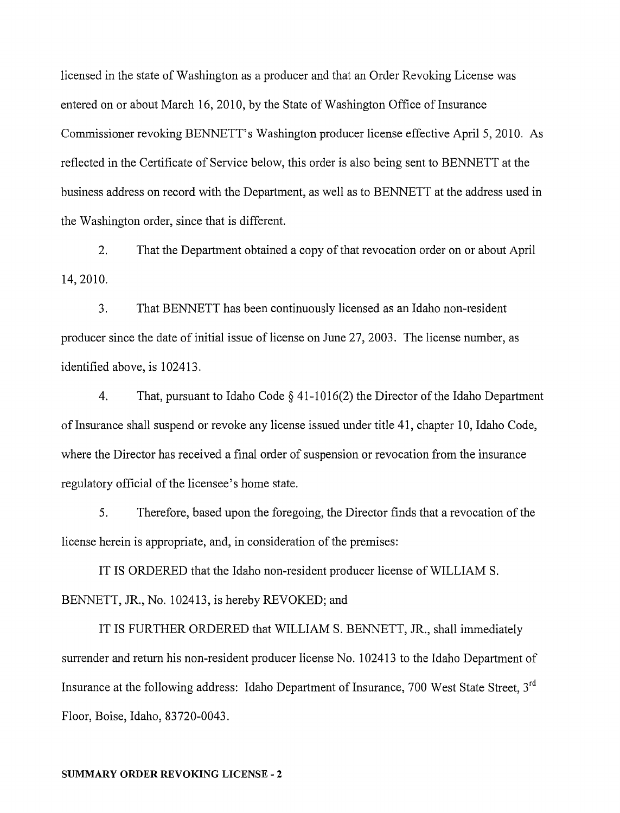licensed in the state of Washington as a producer and that an Order Revoking License was entered on or about March 16, 2010, by the State of Washington Office of Insurance Commissioner revoking BENNETT's Washington producer license effective April S, 2010. As reflected in the Certificate of Service below, this order is also being sent to BENNETT at the business address on record with the Department, as well as to BENNETT at the address used in the Washington order, since that is different.

2. 14,2010. That the Department obtained a copy of that revocation order on or about April

3. That BENNETT has been continuously licensed as an Idaho non-resident producer since the date of initial issue of license on June 27, 2003. The license number, as identified above, is 102413.

4. That, pursuant to Idaho Code § 41-1016(2) the Director of the Idaho Department of Insurance shall suspend or revoke any license issued under title 41, chapter 10, Idaho Code, where the Director has received a final order of suspension or revocation from the insurance regulatory official of the licensee's home state.

S. Therefore, based upon the foregoing, the Director finds that a revocation of the license herein is appropriate, and, in consideration of the premises:

IT IS ORDERED that the Idaho non-resident producer license of WILLIAM S. BENNETT, JR., No. 102413, is hereby REVOKED; and

IT IS FURTHER ORDERED that WILLIAM S. BENNETT, JR., shall immediately surrender and return his non-resident producer license No. 102413 to the Idaho Department of Insurance at the following address: Idaho Department of Insurance, 700 West State Street. 3<sup>rd</sup> Floor, Boise, Idaho, 83720-0043.

#### SUMMARY ORDER REVOKING LICENSE - 2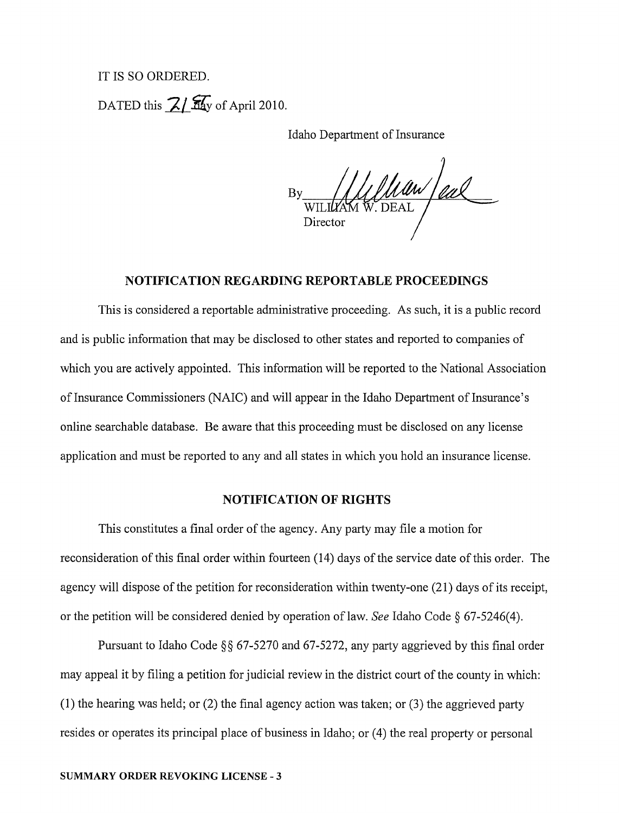# IT IS SO ORDERED. DATED this  $\frac{7}{4}$   $\frac{2}{4}$  of April 2010.

Idaho Department of Insurance

 $\frac{1}{2}$  the UL of Cal Director

### **NOTIFICATION REGARDING REPORTABLE PROCEEDINGS**

This is considered a reportable administrative proceeding. As such, it is a public record and is public information that may be disclosed to other states and reported to companies of which you are actively appointed. This information will be reported to the National Association of Insurance Commissioners (NAIC) and will appear in the Idaho Department of Insurance's online sem'chable database. Be aware that this proceeding must be disclosed on any license application and must be reported to any and all states in which you hold an insurance license.

### **NOTIFICATION OF RIGHTS**

This constitutes a final order of the agency. Any party may file a motion for reconsideration of this final order within fourteen (14) days of the service date of this order. The agency will dispose of the petition for reconsideration within twenty-one (21) days of its receipt, or the petition will be considered denied by operation oflaw. *See* Idaho Code § 67-5246(4).

Pursuant to Idaho Code §§ 67-5270 and 67-5272, any party aggrieved by this final order may appeal it by filing a petition for judicial review in the district court of the county in which: (1) the hearing was held; or (2) the final agency action was taken; or (3) the aggrieved party resides or operates its principal place of business in Idaho; or (4) the real property or personal